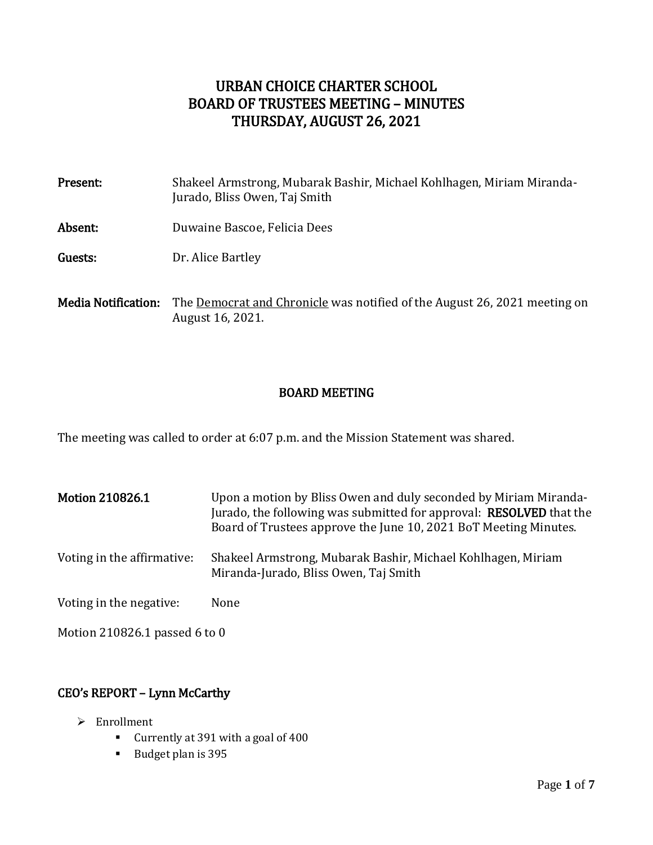# URBAN CHOICE CHARTER SCHOOL BOARD OF TRUSTEES MEETING – MINUTES THURSDAY, AUGUST 26, 2021

| Present:                   | Shakeel Armstrong, Mubarak Bashir, Michael Kohlhagen, Miriam Miranda-<br>Jurado, Bliss Owen, Taj Smith |
|----------------------------|--------------------------------------------------------------------------------------------------------|
| Absent:                    | Duwaine Bascoe, Felicia Dees                                                                           |
| Guests:                    | Dr. Alice Bartley                                                                                      |
| <b>Media Notification:</b> | The <u>Democrat and Chronicle</u> was notified of the August 26, 2021 meeting on<br>August 16, 2021.   |

#### BOARD MEETING

The meeting was called to order at 6:07 p.m. and the Mission Statement was shared.

Motion 210826.1 Upon a motion by Bliss Owen and duly seconded by Miriam Miranda-Jurado, the following was submitted for approval: RESOLVED that the Board of Trustees approve the June 10, 2021 BoT Meeting Minutes. Voting in the affirmative: Shakeel Armstrong, Mubarak Bashir, Michael Kohlhagen, Miriam Miranda-Jurado, Bliss Owen, Taj Smith Voting in the negative: None

Motion 210826.1 passed 6 to 0

# CEO's REPORT – Lynn McCarthy

- > Enrollment
	- Currently at 391 with a goal of 400
	- Budget plan is 395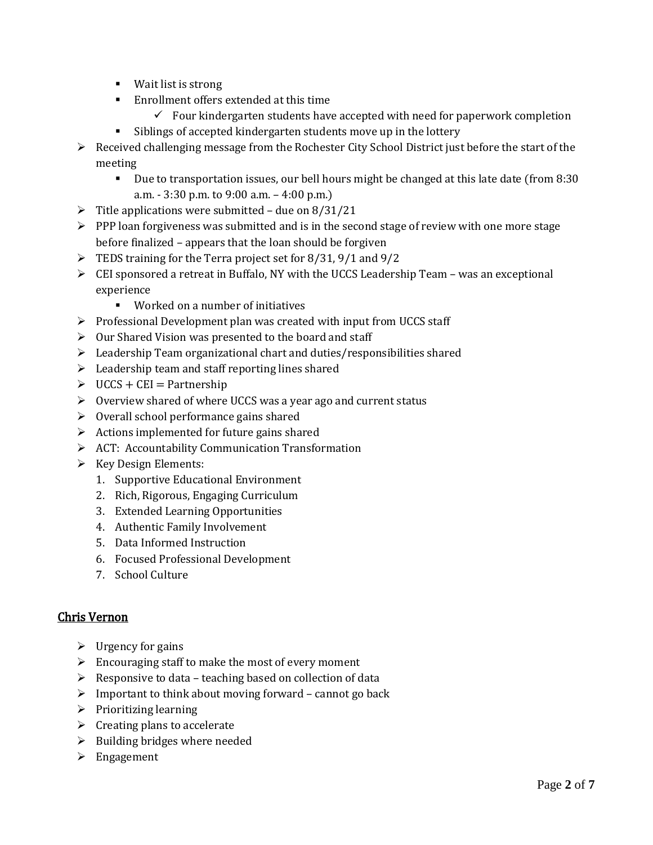- Wait list is strong
- **Enrollment offers extended at this time** 
	- $\checkmark$  Four kindergarten students have accepted with need for paperwork completion
- Siblings of accepted kindergarten students move up in the lottery
- $\triangleright$  Received challenging message from the Rochester City School District just before the start of the meeting
	- Due to transportation issues, our bell hours might be changed at this late date (from 8:30 a.m. - 3:30 p.m. to 9:00 a.m. – 4:00 p.m.)
- $\triangleright$  Title applications were submitted due on 8/31/21
- $\triangleright$  PPP loan forgiveness was submitted and is in the second stage of review with one more stage before finalized – appears that the loan should be forgiven
- $\triangleright$  TEDS training for the Terra project set for 8/31, 9/1 and 9/2
- $\triangleright$  CEI sponsored a retreat in Buffalo, NY with the UCCS Leadership Team was an exceptional experience
	- Worked on a number of initiatives
- $\triangleright$  Professional Development plan was created with input from UCCS staff
- $\triangleright$  Our Shared Vision was presented to the board and staff
- $\triangleright$  Leadership Team organizational chart and duties/responsibilities shared
- $\blacktriangleright$  Leadership team and staff reporting lines shared
- $\triangleright$  UCCS + CEI = Partnership
- $\triangleright$  Overview shared of where UCCS was a year ago and current status
- $\triangleright$  Overall school performance gains shared
- $\triangleright$  Actions implemented for future gains shared
- $\triangleright$  ACT: Accountability Communication Transformation
- $\triangleright$  Key Design Elements:
	- 1. Supportive Educational Environment
	- 2. Rich, Rigorous, Engaging Curriculum
	- 3. Extended Learning Opportunities
	- 4. Authentic Family Involvement
	- 5. Data Informed Instruction
	- 6. Focused Professional Development
	- 7. School Culture

### Chris Vernon

- $\triangleright$  Urgency for gains
- $\triangleright$  Encouraging staff to make the most of every moment
- $\triangleright$  Responsive to data teaching based on collection of data
- $\triangleright$  Important to think about moving forward cannot go back
- $\triangleright$  Prioritizing learning
- $\triangleright$  Creating plans to accelerate
- $\triangleright$  Building bridges where needed
- > Engagement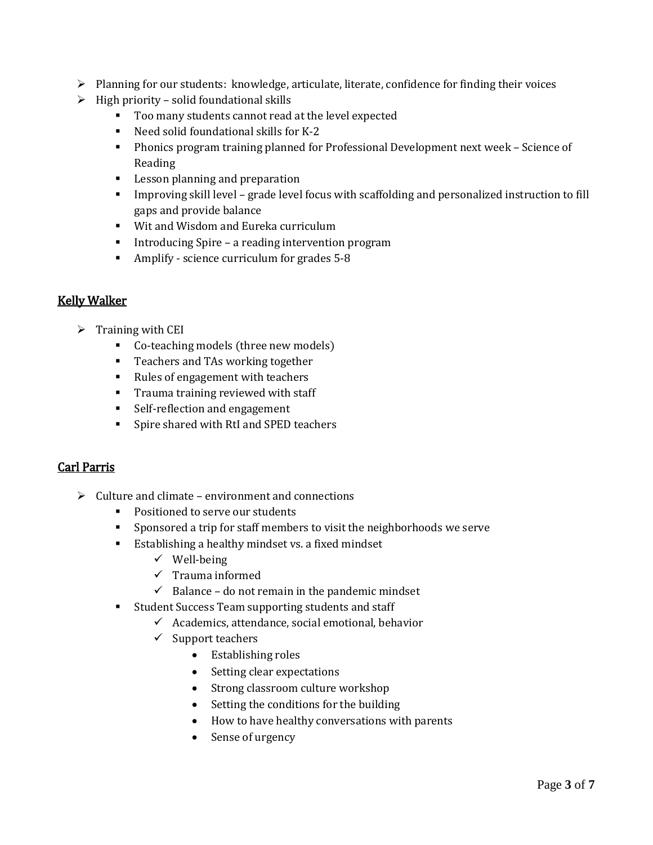- $\triangleright$  Planning for our students: knowledge, articulate, literate, confidence for finding their voices
- $\triangleright$  High priority solid foundational skills
	- Too many students cannot read at the level expected
	- Need solid foundational skills for K-2
	- Phonics program training planned for Professional Development next week Science of Reading
	- **Lesson planning and preparation**
	- Improving skill level grade level focus with scaffolding and personalized instruction to fill gaps and provide balance
	- Wit and Wisdom and Eureka curriculum
	- **Introducing Spire a reading intervention program**
	- Amplify science curriculum for grades 5-8

### Kelly Walker

- $\triangleright$  Training with CEI
	- Co-teaching models (three new models)
	- **Teachers and TAs working together**
	- Rules of engagement with teachers
	- **Trauma training reviewed with staff**
	- **Self-reflection and engagement**
	- **Spire shared with RtI and SPED teachers**

### Carl Parris

- $\triangleright$  Culture and climate environment and connections
	- **Positioned to serve our students**
	- Sponsored a trip for staff members to visit the neighborhoods we serve
	- **Establishing a healthy mindset vs. a fixed mindset** 
		- $\checkmark$  Well-being
		- $\checkmark$  Trauma informed
		- $\checkmark$  Balance do not remain in the pandemic mindset
	- **Student Success Team supporting students and staff** 
		- $\checkmark$  Academics, attendance, social emotional, behavior
		- $\checkmark$  Support teachers
			- Establishing roles
			- Setting clear expectations
			- Strong classroom culture workshop
			- Setting the conditions for the building
			- How to have healthy conversations with parents
			- Sense of urgency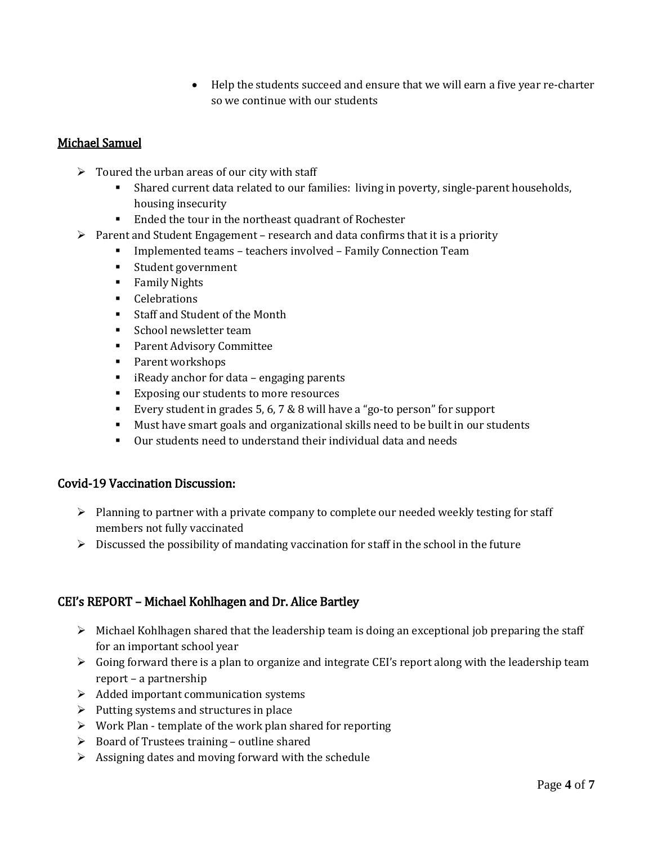Help the students succeed and ensure that we will earn a five year re-charter so we continue with our students

## Michael Samuel

- $\triangleright$  Toured the urban areas of our city with staff
	- Shared current data related to our families: living in poverty, single-parent households, housing insecurity
	- Ended the tour in the northeast quadrant of Rochester
- $\triangleright$  Parent and Student Engagement research and data confirms that it is a priority
	- Implemented teams teachers involved Family Connection Team
	- Student government
	- **Family Nights**
	- **Celebrations**
	- Staff and Student of the Month
	- **School newsletter team**
	- **Parent Advisory Committee**
	- Parent workshops
	- **EXECT** iReady anchor for data engaging parents
	- Exposing our students to more resources
	- Every student in grades 5, 6, 7 & 8 will have a "go-to person" for support
	- Must have smart goals and organizational skills need to be built in our students
	- Our students need to understand their individual data and needs

#### Covid-19 Vaccination Discussion:

- $\triangleright$  Planning to partner with a private company to complete our needed weekly testing for staff members not fully vaccinated
- $\triangleright$  Discussed the possibility of mandating vaccination for staff in the school in the future

### CEI's REPORT – Michael Kohlhagen and Dr. Alice Bartley

- $\triangleright$  Michael Kohlhagen shared that the leadership team is doing an exceptional job preparing the staff for an important school year
- $\triangleright$  Going forward there is a plan to organize and integrate CEI's report along with the leadership team report – a partnership
- $\triangleright$  Added important communication systems
- $\triangleright$  Putting systems and structures in place
- $\triangleright$  Work Plan template of the work plan shared for reporting
- $\triangleright$  Board of Trustees training outline shared
- $\triangleright$  Assigning dates and moving forward with the schedule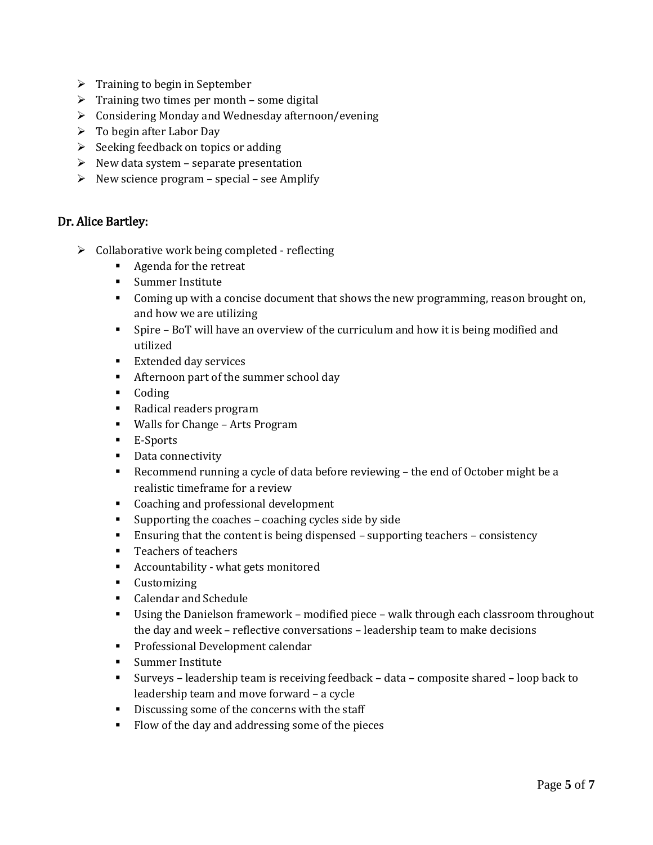- $\triangleright$  Training to begin in September
- $\triangleright$  Training two times per month some digital
- Considering Monday and Wednesday afternoon/evening
- $\triangleright$  To begin after Labor Day
- $\triangleright$  Seeking feedback on topics or adding
- $\triangleright$  New data system separate presentation
- $\triangleright$  New science program special see Amplify

#### Dr. Alice Bartley:

- $\triangleright$  Collaborative work being completed reflecting
	- **Agenda for the retreat**
	- **Summer Institute**
	- **Coming up with a concise document that shows the new programming, reason brought on,** and how we are utilizing
	- Spire BoT will have an overview of the curriculum and how it is being modified and utilized
	- **Extended day services**
	- Afternoon part of the summer school day
	- **Coding**
	- Radical readers program
	- Walls for Change Arts Program
	- E-Sports
	- Data connectivity
	- Recommend running a cycle of data before reviewing the end of October might be a realistic timeframe for a review
	- Coaching and professional development
	- Supporting the coaches coaching cycles side by side
	- Ensuring that the content is being dispensed supporting teachers consistency
	- **Teachers of teachers**
	- Accountability what gets monitored
	- **Customizing**
	- **Calendar and Schedule**
	- Using the Danielson framework modified piece walk through each classroom throughout the day and week – reflective conversations – leadership team to make decisions
	- **Professional Development calendar**
	- **Summer Institute**
	- Surveys leadership team is receiving feedback data composite shared loop back to leadership team and move forward – a cycle
	- Discussing some of the concerns with the staff
	- Flow of the day and addressing some of the pieces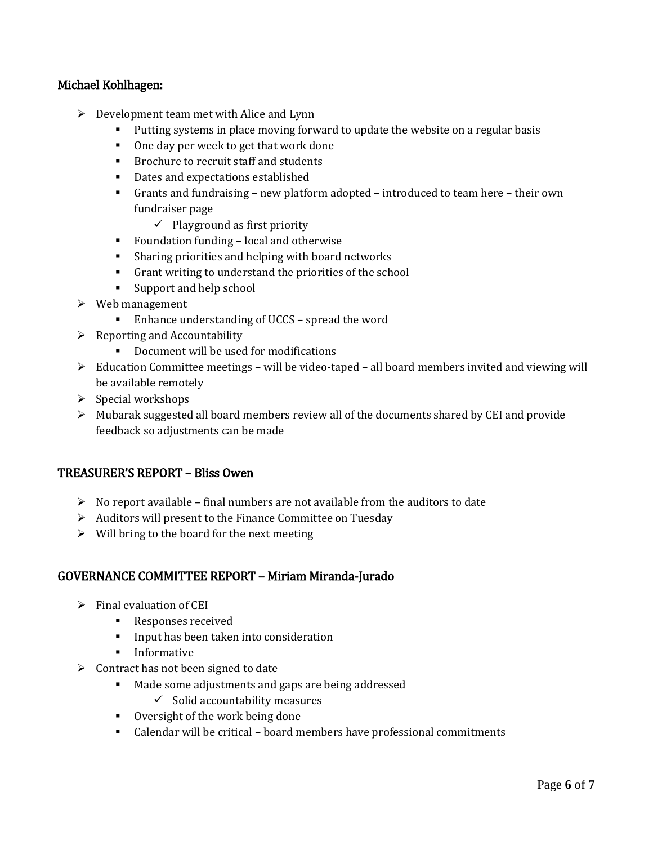### Michael Kohlhagen:

- $\triangleright$  Development team met with Alice and Lynn
	- Putting systems in place moving forward to update the website on a regular basis
	- One day per week to get that work done
	- **Brochure to recruit staff and students**
	- Dates and expectations established
	- Grants and fundraising new platform adopted introduced to team here their own fundraiser page
		- $\checkmark$  Playground as first priority
	- **Foundation funding local and otherwise**
	- Sharing priorities and helping with board networks
	- Grant writing to understand the priorities of the school
	- Support and help school
- $\triangleright$  Web management
	- Enhance understanding of UCCS spread the word
- $\triangleright$  Reporting and Accountability
	- Document will be used for modifications
- $\triangleright$  Education Committee meetings will be video-taped all board members invited and viewing will be available remotely
- $\triangleright$  Special workshops
- $\triangleright$  Mubarak suggested all board members review all of the documents shared by CEI and provide feedback so adjustments can be made

#### TREASURER'S REPORT – Bliss Owen

- $\triangleright$  No report available final numbers are not available from the auditors to date
- $\triangleright$  Auditors will present to the Finance Committee on Tuesday
- $\triangleright$  Will bring to the board for the next meeting

#### GOVERNANCE COMMITTEE REPORT – Miriam Miranda-Jurado

- $\triangleright$  Final evaluation of CEI
	- **Responses received**
	- **I.** Input has been taken into consideration
	- **Informative**
- $\triangleright$  Contract has not been signed to date
	- Made some adjustments and gaps are being addressed
		- $\checkmark$  Solid accountability measures
	- **•** Oversight of the work being done
	- Calendar will be critical board members have professional commitments